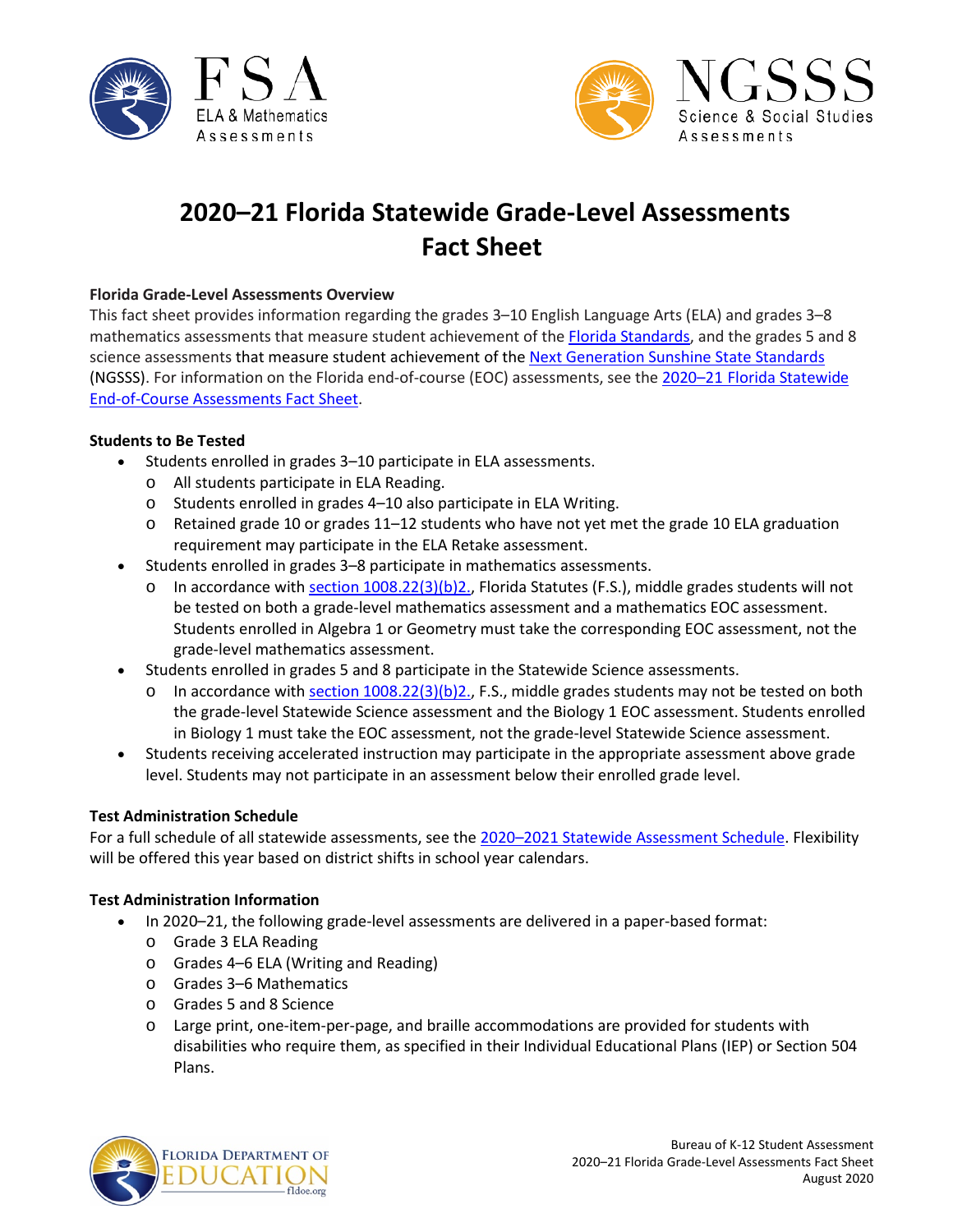



# **2020–21 Florida Statewide Grade-Level Assessments Fact Sheet**

#### **Florida Grade-Level Assessments Overview**

This fact sheet provides information regarding the grades 3–10 English Language Arts (ELA) and grades 3–8 mathematics assessments that measure student achievement of th[e Florida Standards,](http://www.cpalms.org/Public/) and the grades 5 and 8 science assessments that measure student achievement of the [Next Generation Sunshine State Standards](http://www.floridastandards.org/index.aspx) (NGSSS). For information on the Florida end-of-course (EOC) assessments, see the 2020–21 [Florida Statewide](http://www.fldoe.org/core/fileparse.php/5663/urlt/EOCFS2021.pdf)  [End-of-Course Assessments Fact Sheet.](http://www.fldoe.org/core/fileparse.php/5663/urlt/EOCFS2021.pdf)

#### **Students to Be Tested**

- Students enrolled in grades 3–10 participate in ELA assessments.
	- o All students participate in ELA Reading.
	- o Students enrolled in grades 4–10 also participate in ELA Writing.
	- $\circ$  Retained grade 10 or grades 11–12 students who have not yet met the grade 10 ELA graduation requirement may participate in the ELA Retake assessment.
- Students enrolled in grades 3–8 participate in mathematics assessments.
	- o In accordance with section  $1008.22(3)(b)2$ ., Florida Statutes (F.S.), middle grades students will not be tested on both a grade-level mathematics assessment and a mathematics EOC assessment. Students enrolled in Algebra 1 or Geometry must take the corresponding EOC assessment, not the grade-level mathematics assessment.
- Students enrolled in grades 5 and 8 participate in the Statewide Science assessments.
	- o In accordance wit[h section 1008.22\(3\)\(b\)2.,](http://www.leg.state.fl.us/Statutes/?App_mode=Display_Statute&URL=1000-1099/1008/Sections/1008.22.html) F.S., middle grades students may not be tested on both the grade-level Statewide Science assessment and the Biology 1 EOC assessment. Students enrolled in Biology 1 must take the EOC assessment, not the grade-level Statewide Science assessment.
- Students receiving accelerated instruction may participate in the appropriate assessment above grade level. Students may not participate in an assessment below their enrolled grade level.

#### **Test Administration Schedule**

For a full schedule of all statewide assessments, see the 2020-2021 Statewide Assessment Schedule. Flexibility will be offered this year based on district shifts in school year calendars.

#### **Test Administration Information**

- In 2020–21, the following grade-level assessments are delivered in a paper-based format:
	- o Grade 3 ELA Reading
	- o Grades 4–6 ELA (Writing and Reading)
	- o Grades 3–6 Mathematics
	- o Grades 5 and 8 Science
	- o Large print, one-item-per-page, and braille accommodations are provided for students with disabilities who require them, as specified in their Individual Educational Plans (IEP) or Section 504 Plans.

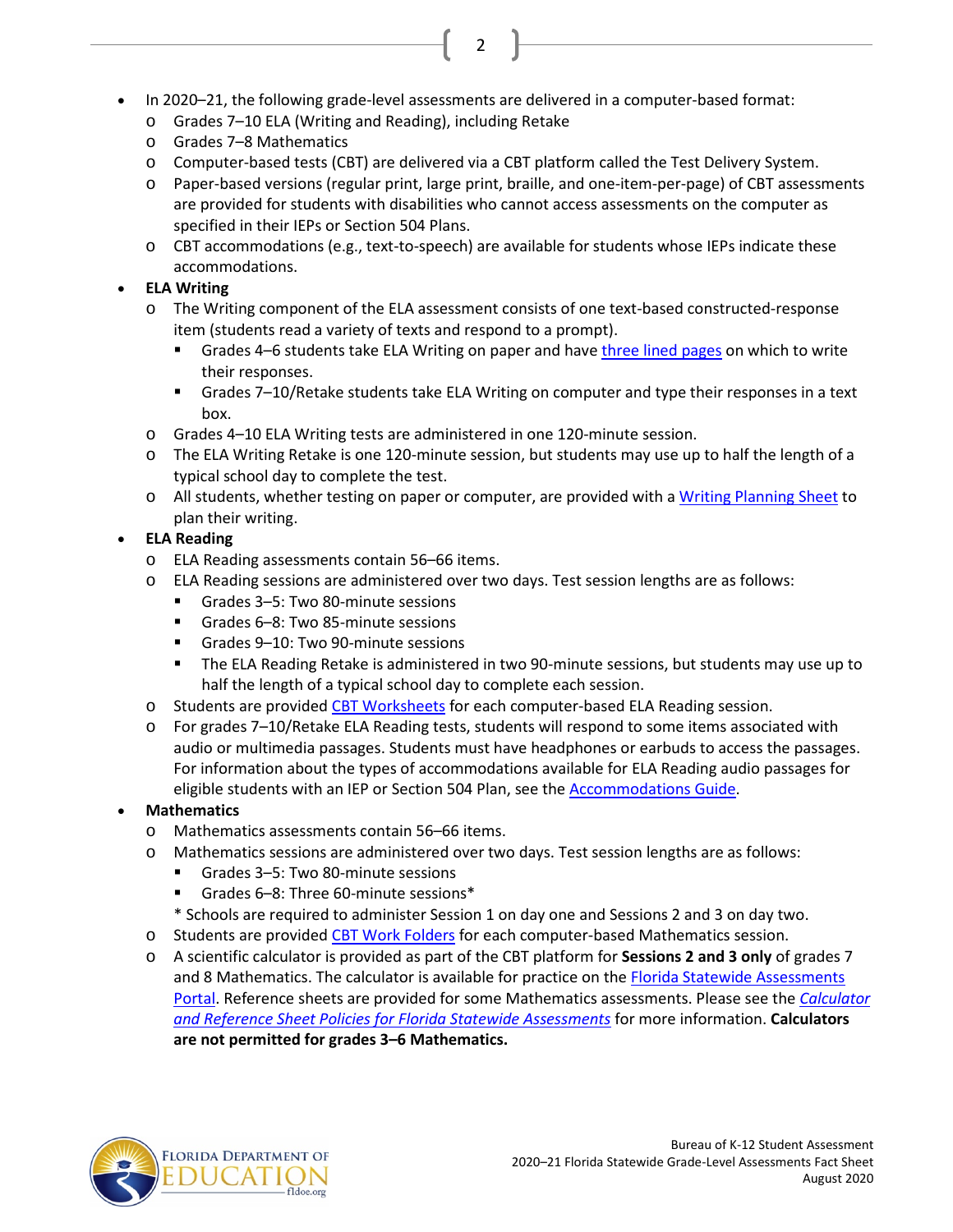- In 2020–21, the following grade-level assessments are delivered in a computer-based format:
	- o Grades 7–10 ELA (Writing and Reading), including Retake
	- o Grades 7–8 Mathematics
	- o Computer-based tests (CBT) are delivered via a CBT platform called the Test Delivery System.

2

- o Paper-based versions (regular print, large print, braille, and one-item-per-page) of CBT assessments are provided for students with disabilities who cannot access assessments on the computer as specified in their IEPs or Section 504 Plans.
- o CBT accommodations (e.g., text-to-speech) are available for students whose IEPs indicate these accommodations.

# • **ELA Writing**

- o The Writing component of the ELA assessment consists of one text-based constructed-response item (students read a variety of texts and respond to a prompt).
	- Grades 4–6 students take ELA Writing on paper and hav[e three lined pages](https://fsassessments.org/core/fileparse.php/3031/urlt/FSA-Writing-Response-Pages-Template-1.pdf) on which to write their responses.
	- Grades 7–10/Retake students take ELA Writing on computer and type their responses in a text box.
- o Grades 4–10 ELA Writing tests are administered in one 120-minute session.
- o The ELA Writing Retake is one 120-minute session, but students may use up to half the length of a typical school day to complete the test.
- o All students, whether testing on paper or computer, are provided with [a Writing Planning Sheet](https://fsassessments.org/core/fileparse.php/3031/urlt/ELA-Writing-Planning-Sheet_FW20.pdf) to plan their writing.

# • **ELA Reading**

- o ELA Reading assessments contain 56–66 items.
- o ELA Reading sessions are administered over two days. Test session lengths are as follows:<br>  $\blacksquare$  Grades  $3-5$ : Two 80-minute sessions
	- Grades 3–5: Two 80-minute sessions
	- Grades 6–8: Two 85-minute sessions
	- Grades 9-10: Two 90-minute sessions
	- The ELA Reading Retake is administered in two 90-minute sessions, but students may use up to half the length of a typical school day to complete each session.
- o Students are provided [CBT Worksheets](https://fsassessments.org/core/fileparse.php/3031/urlt/CBT-Worksheet_FW20.pdf) for each computer-based ELA Reading session.
- o For grades 7–10/Retake ELA Reading tests, students will respond to some items associated with audio or multimedia passages. Students must have headphones or earbuds to access the passages. For information about the types of accommodations available for ELA Reading audio passages for eligible students with an IEP or Section 504 Plan, see the [Accommodations Guide.](https://fsassessments.org/resources/accommodations/#1957)

# • **Mathematics**

- o Mathematics assessments contain 56–66 items.
- o Mathematics sessions are administered over two days. Test session lengths are as follows:
	- Grades 3–5: Two 80-minute sessions
	- Grades 6–8: Three 60-minute sessions\*
	- \* Schools are required to administer Session 1 on day one and Sessions 2 and 3 on day two.
- o Students are provided [CBT Work Folders](https://fsassessments.org/core/fileparse.php/3031/urlt/CBT-Work-Folder_FW20.pdf) for each computer-based Mathematics session.
- o A scientific calculator is provided as part of the CBT platform for **Sessions 2 and 3 only** of grades 7 and 8 Mathematics. The calculator is available for practice on the [Florida Statewide Assessments](http://www.fsassessments.org/) [Portal.](http://www.fsassessments.org/) Reference sheets are provided for some Mathematics assessments. Please see the *[Calculator](http://www.fldoe.org/core/fileparse.php/5663/urlt/FSACalcRefSheetPolicy.pdf)  [and Reference Sheet Policies for Florida Statewide](http://www.fldoe.org/core/fileparse.php/5663/urlt/FSACalcRefSheetPolicy.pdf) Assessments* for more information. **Calculators are not permitted for grades 3–6 Mathematics.**

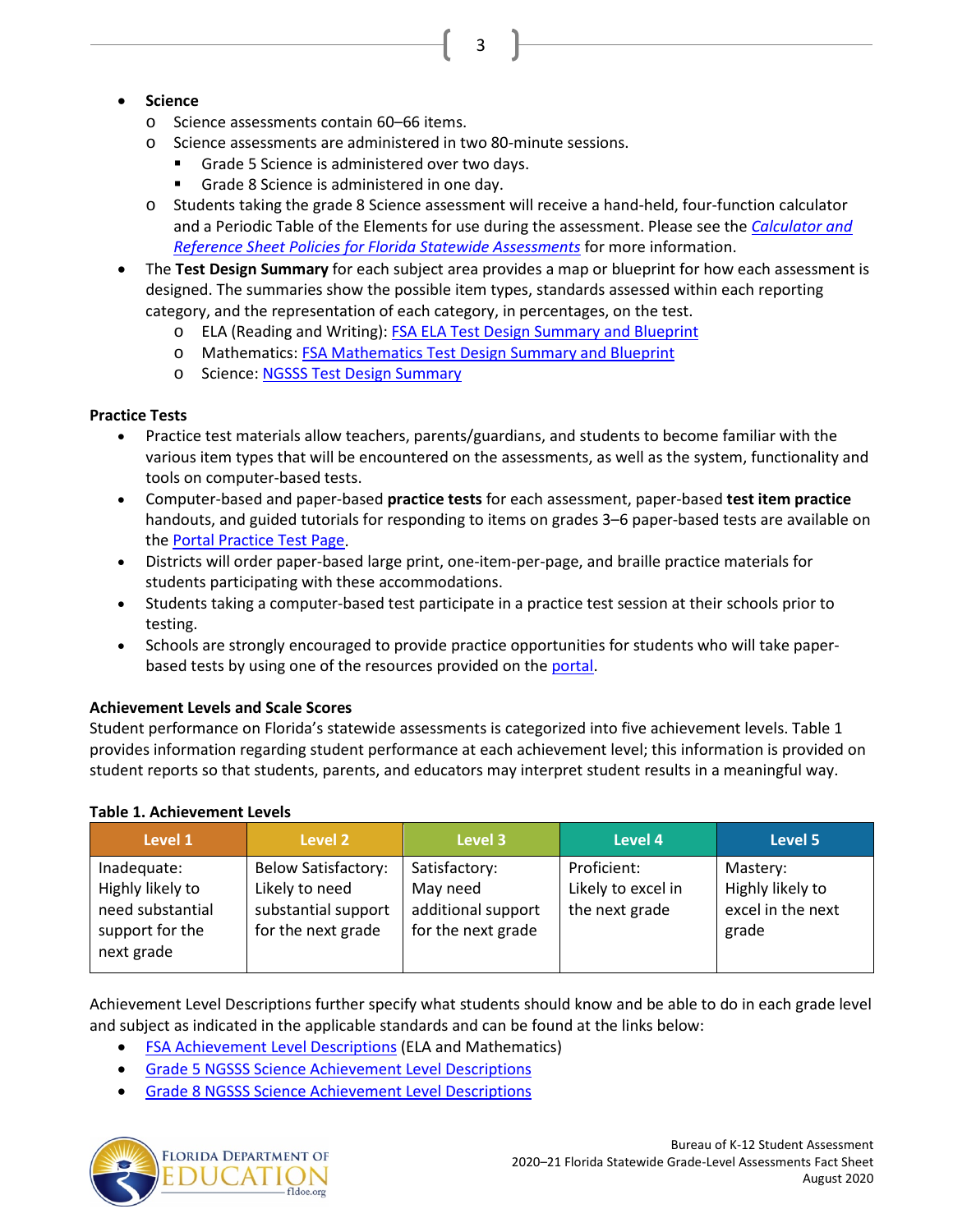# 3

# • **Science**

- o Science assessments contain 60–66 items.
- o Science assessments are administered in two 80-minute sessions.
	- Grade 5 Science is administered over two days.
	- Grade 8 Science is administered in one day.
- o Students taking the grade 8 Science assessment will receive a hand-held, four-function calculator and a Periodic Table of the Elements for use during the assessment. Please see the *[Calculator and](http://www.fldoe.org/core/fileparse.php/5663/urlt/FSACalcRefSheetPolicy.pdf)  [Reference Sheet Policies for Florida Statewide Assessments](http://www.fldoe.org/core/fileparse.php/5663/urlt/FSACalcRefSheetPolicy.pdf)* for more information.
- The **Test Design Summary** for each subject area provides a map or blueprint for how each assessment is designed. The summaries show the possible item types, standards assessed within each reporting category, and the representation of each category, in percentages, on the test.
	- o ELA (Reading and Writing): FSA ELA Test [Design Summary and Blueprint](https://fsassessments.org/core/fileparse.php/3031/urlt/ELA-Test-Design-Summary-Updated-October-2018_APPROVED_508.pdf)
	- o Mathematics: [FSA Mathematics Test Design Summary and Blueprint](https://fsassessments.org/core/fileparse.php/3031/urlt/Test-Design-Summary-Mathematics-January-2020_508.pdf)
	- o Science[: NGSSS Test Design Summary](http://www.fldoe.org/core/fileparse.php/5662/urlt/NGSSS_TestDesignSummary_Final.pdf)

# **Practice Tests**

- Practice test materials allow teachers, parents/guardians, and students to become familiar with the various item types that will be encountered on the assessments, as well as the system, functionality and tools on computer-based tests.
- Computer-based and paper-based **practice tests** for each assessment, paper-based **test item practice** handouts, and guided tutorials for responding to items on grades 3–6 paper-based tests are available on the Portal [Practice Test Page.](https://fsassessments.org/students-and-families/practice-tests/index.stml)
- Districts will order paper-based large print, one-item-per-page, and braille practice materials for students participating with these accommodations.
- Students taking a computer-based test participate in a practice test session at their schools prior to testing.
- Schools are strongly encouraged to provide practice opportunities for students who will take paperbased tests by using one of the resources provided on th[e portal.](https://fsassessments.org/)

### **Achievement Levels and Scale Scores**

Student performance on Florida's statewide assessments is categorized into five achievement levels. Table 1 provides information regarding student performance at each achievement level; this information is provided on student reports so that students, parents, and educators may interpret student results in a meaningful way.

#### **Level 1 Level 2 Level 3 Level 4 Level 5** Inadequate: Highly likely to need substantial support for the next grade Below Satisfactory: Likely to need substantial support for the next grade Satisfactory: May need additional support for the next grade Proficient: Likely to excel in the next grade Mastery: Highly likely to excel in the next grade

**Table 1. Achievement Levels** 

Achievement Level Descriptions further specify what students should know and be able to do in each grade level and subject as indicated in the applicable standards and can be found at the links below:

- [FSA Achievement Level Descriptions](http://www.fldoe.org/core/fileparse.php/5663/urlt/2015FSARangeSummary.pdf) (ELA and Mathematics)
- [Grade 5 NGSSS Science Achievement Level Descriptions](http://www.fldoe.org/core/fileparse.php/5663/urlt/sciencegrade5-Nov2018.pdf)
- [Grade 8 NGSSS Science Achievement Level Descriptions](http://www.fldoe.org/core/fileparse.php/5663/urlt/sciencegrade8-Nov2018.pdf)

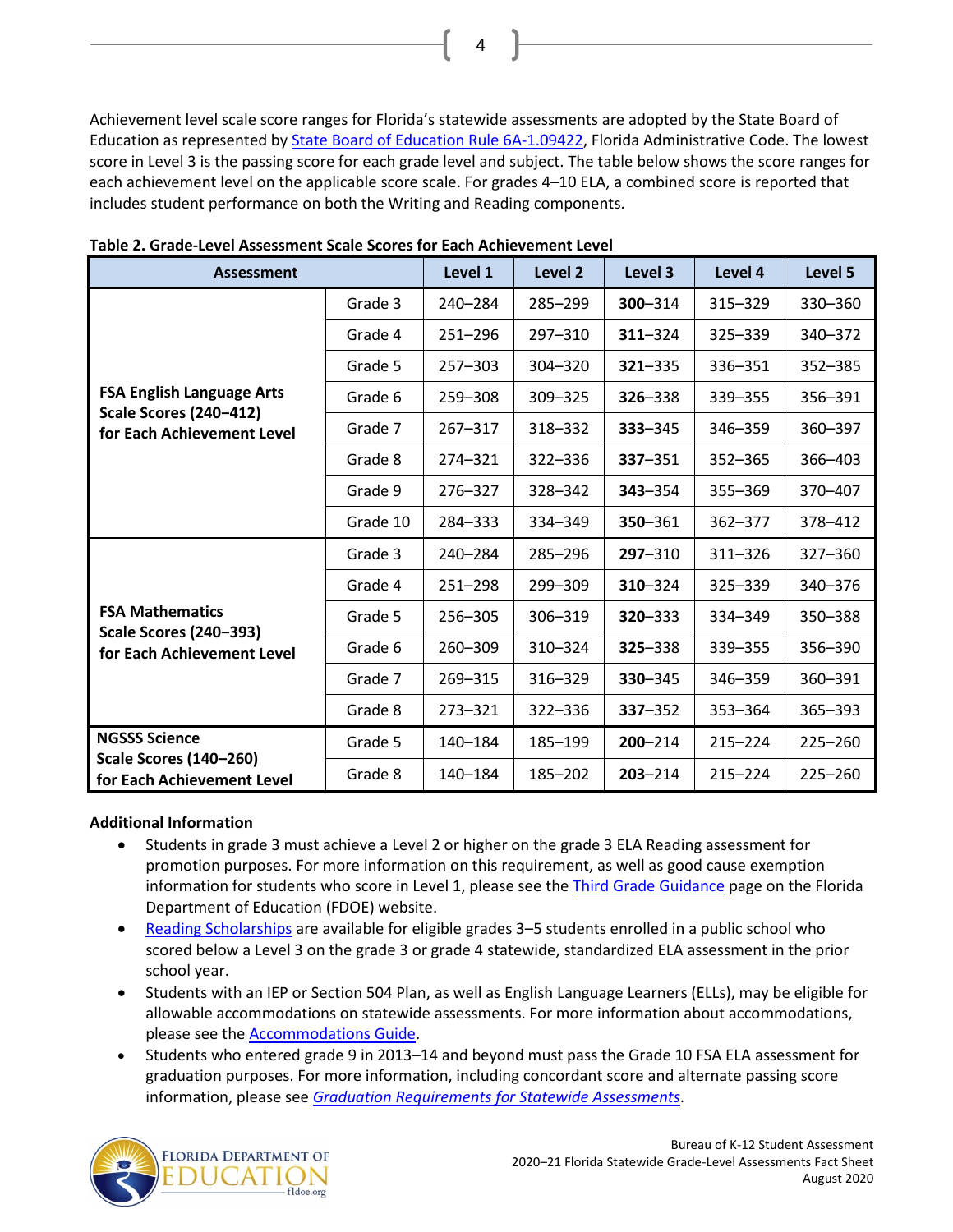Achievement level scale score ranges for Florida's statewide assessments are adopted by the State Board of Education as represented by [State Board of Education Rule 6A-1.09422,](https://www.flrules.org/gateway/ruleNo.asp?id=6A-1.094222) Florida Administrative Code. The lowest score in Level 3 is the passing score for each grade level and subject. The table below shows the score ranges for each achievement level on the applicable score scale. For grades 4–10 ELA, a combined score is reported that includes student performance on both the Writing and Reading components.

4

| <b>Assessment</b>                                                                               |          | Level 1     | Level <sub>2</sub> | Level 3     | Level 4     | Level 5     |
|-------------------------------------------------------------------------------------------------|----------|-------------|--------------------|-------------|-------------|-------------|
| <b>FSA English Language Arts</b><br><b>Scale Scores (240-412)</b><br>for Each Achievement Level | Grade 3  | 240-284     | 285-299            | 300-314     | 315-329     | 330-360     |
|                                                                                                 | Grade 4  | $251 - 296$ | 297-310            | $311 - 324$ | 325-339     | 340-372     |
|                                                                                                 | Grade 5  | 257-303     | 304-320            | $321 - 335$ | 336-351     | 352-385     |
|                                                                                                 | Grade 6  | 259-308     | 309-325            | 326-338     | 339 - 355   | 356-391     |
|                                                                                                 | Grade 7  | 267-317     | 318-332            | 333 - 345   | 346-359     | 360-397     |
|                                                                                                 | Grade 8  | 274-321     | 322-336            | 337-351     | $352 - 365$ | 366-403     |
|                                                                                                 | Grade 9  | 276-327     | 328-342            | 343-354     | 355-369     | 370-407     |
|                                                                                                 | Grade 10 | 284-333     | 334-349            | 350-361     | 362-377     | 378-412     |
| <b>FSA Mathematics</b><br><b>Scale Scores (240-393)</b><br>for Each Achievement Level           | Grade 3  | 240-284     | 285-296            | 297-310     | 311-326     | 327-360     |
|                                                                                                 | Grade 4  | $251 - 298$ | 299-309            | 310-324     | 325-339     | 340-376     |
|                                                                                                 | Grade 5  | 256-305     | 306-319            | 320 - 333   | 334-349     | 350 - 388   |
|                                                                                                 | Grade 6  | 260-309     | 310-324            | 325 - 338   | 339 - 355   | 356-390     |
|                                                                                                 | Grade 7  | 269-315     | 316-329            | 330-345     | 346-359     | 360-391     |
|                                                                                                 | Grade 8  | $273 - 321$ | 322-336            | 337-352     | 353-364     | 365-393     |
| <b>NGSSS Science</b><br><b>Scale Scores (140-260)</b><br>for Each Achievement Level             | Grade 5  | 140-184     | 185-199            | $200 - 214$ | $215 - 224$ | $225 - 260$ |
|                                                                                                 | Grade 8  | 140-184     | 185-202            | $203 - 214$ | $215 - 224$ | 225-260     |

**Table 2. Grade-Level Assessment Scale Scores for Each Achievement Level**

#### **Additional Information**

- Students in grade 3 must achieve a Level 2 or higher on the grade 3 ELA Reading assessment for promotion purposes. For more information on this requirement, as well as good cause exemption information for students who score in Level 1, please see the [Third Grade Guidance](http://www.fldoe.org/academics/standards/just-read-fl/third-grade-guidance.stml) page on the Florida Department of Education (FDOE) website.
- [Reading Scholarships](https://www.stepupforstudents.org/for-parents/reading-scholarship/how-the-scholarship-works/) are available for eligible grades 3-5 students enrolled in a public school who scored below a Level 3 on the grade 3 or grade 4 statewide, standardized ELA assessment in the prior school year.
- Students with an IEP or Section 504 Plan, as well as English Language Learners (ELLs), may be eligible for allowable accommodations on statewide assessments. For more information about accommodations, please see the [Accommodations Guide.](https://fsassessments.org/resources/user-guides-and-manuals/#1526)
- Students who entered grade 9 in 2013–14 and beyond must pass the Grade 10 FSA ELA assessment for graduation purposes. For more information, including concordant score and alternate passing score information, please see *[Graduation Requirements for Statewide Assessments](http://www.fldoe.org/core/fileparse.php/7764/urlt/GradRequireFSA.pdf)*.